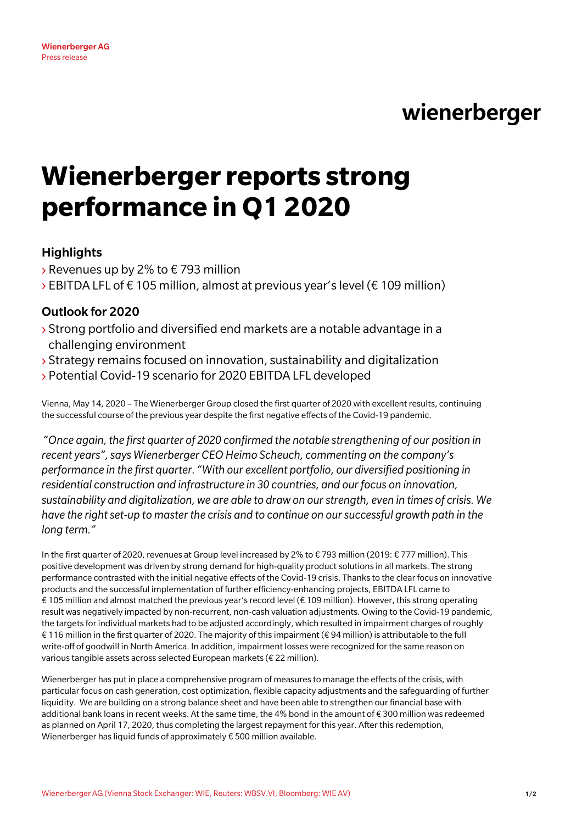# wienerberger

# **Wienerberger reports strong performance in Q1 2020**

## **Highlights**

- $\rightarrow$  Revenues up by 2% to  $\epsilon$  793 million
- $\rightarrow$  EBITDA LFL of € 105 million, almost at previous year's level (€ 109 million)

## Outlook for 2020

- › Strong portfolio and diversified end markets are a notable advantage in a challenging environment
- › Strategy remains focused on innovation, sustainability and digitalization
- › Potential Covid-19 scenario for 2020 EBITDA LFL developed

Vienna, May 14, 2020 – The Wienerberger Group closed the first quarter of 2020 with excellent results, continuing the successful course of the previous year despite the first negative effects of the Covid-19 pandemic.

*"Once again, the first quarter of 2020 confirmed the notable strengthening of our position in recent years", says Wienerberger CEO Heimo Scheuch, commenting on the company's performance in the first quarter. "With our excellent portfolio, our diversified positioning in residential construction and infrastructure in 30 countries, and our focus on innovation, sustainability and digitalization, we are able to draw on our strength, even in times of crisis. We have the right set-up to master the crisis and to continue on our successful growth path in the long term."*

In the first quarter of 2020, revenues at Group level increased by 2% to € 793 million (2019: € 777 million). This positive development was driven by strong demand for high-quality product solutions in all markets. The strong performance contrasted with the initial negative effects of the Covid-19 crisis. Thanks to the clear focus on innovative products and the successful implementation of further efficiency-enhancing projects, EBITDA LFL came to € 105 million and almost matched the previous year's record level (€ 109 million). However, this strong operating result was negatively impacted by non-recurrent, non-cash valuation adjustments. Owing to the Covid-19 pandemic, the targets for individual markets had to be adjusted accordingly, which resulted in impairment charges of roughly € 116 million in the first quarter of 2020. The majority of this impairment (€ 94 million) is attributable to the full write-off of goodwill in North America. In addition, impairment losses were recognized for the same reason on various tangible assets across selected European markets (€ 22 million).

Wienerberger has put in place a comprehensive program of measures to manage the effects of the crisis, with particular focus on cash generation, cost optimization, flexible capacity adjustments and the safeguarding of further liquidity. We are building on a strong balance sheet and have been able to strengthen our financial base with additional bank loans in recent weeks. At the same time, the 4% bond in the amount of € 300 million was redeemed as planned on April 17, 2020, thus completing the largest repayment for this year. After this redemption, Wienerberger has liquid funds of approximately € 500 million available.